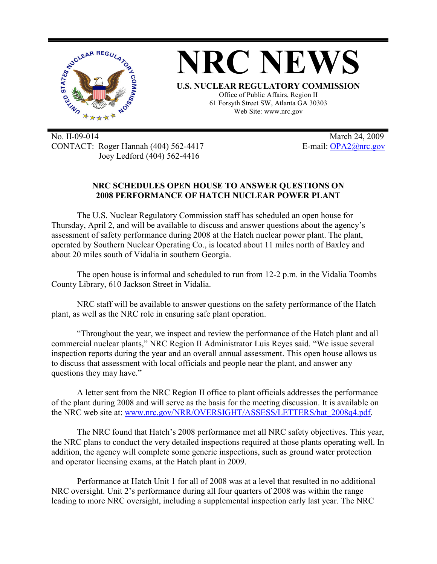

No. II-09-014 March 24, 2009 CONTACT: Roger Hannah (404) 562-4417 E-mail: OPA2@nrc.gov Joey Ledford (404) 562-4416

## **NRC SCHEDULES OPEN HOUSE TO ANSWER QUESTIONS ON 2008 PERFORMANCE OF HATCH NUCLEAR POWER PLANT**

The U.S. Nuclear Regulatory Commission staff has scheduled an open house for Thursday, April 2, and will be available to discuss and answer questions about the agency's assessment of safety performance during 2008 at the Hatch nuclear power plant. The plant, operated by Southern Nuclear Operating Co., is located about 11 miles north of Baxley and about 20 miles south of Vidalia in southern Georgia.

The open house is informal and scheduled to run from 12-2 p.m. in the Vidalia Toombs County Library, 610 Jackson Street in Vidalia.

NRC staff will be available to answer questions on the safety performance of the Hatch plant, as well as the NRC role in ensuring safe plant operation.

"Throughout the year, we inspect and review the performance of the Hatch plant and all commercial nuclear plants," NRC Region II Administrator Luis Reyes said. "We issue several inspection reports during the year and an overall annual assessment. This open house allows us to discuss that assessment with local officials and people near the plant, and answer any questions they may have."

A letter sent from the NRC Region II office to plant officials addresses the performance of the plant during 2008 and will serve as the basis for the meeting discussion. It is available on the NRC web site at: www.nrc.gov/NRR/OVERSIGHT/ASSESS/LETTERS/hat\_2008q4.pdf.

The NRC found that Hatch's 2008 performance met all NRC safety objectives. This year, the NRC plans to conduct the very detailed inspections required at those plants operating well. In addition, the agency will complete some generic inspections, such as ground water protection and operator licensing exams, at the Hatch plant in 2009.

Performance at Hatch Unit 1 for all of 2008 was at a level that resulted in no additional NRC oversight. Unit 2's performance during all four quarters of 2008 was within the range leading to more NRC oversight, including a supplemental inspection early last year. The NRC